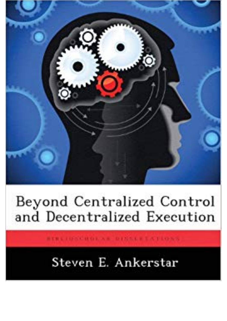

## Beyond Centralized Control and Decentralized Execution

**RTBLIDGGURDLAR DIMALBEATIONS** 

## Steven E. Ankerstar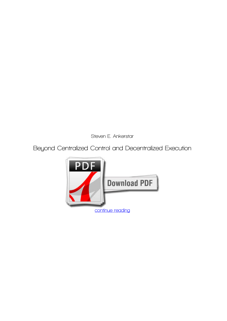*Steven E. Ankerstar*

**Beyond Centralized Control and Decentralized Execution**

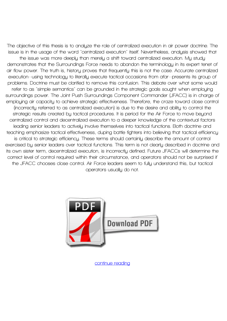**The objective of this thesis is to analyze the role of centralized execution in air power doctrine. The issue is in the usage of the word "centralized execution" itself. Nevertheless, analysis showed that the issue was more deeply than merely a shift toward centralized execution. My study demonstrates that the Surroundings Force needs to abandon the terminology in its expert tenet of air flow power. The truth is, history proves that frequently this is not the case. Accurate centralized execution--using technology to literally execute tactical occasions from afar--presents its group of problems. Doctrine must be clarified to remove this confusion. This debate over what some would refer to as "simple semantics" can be grounded in the strategic goals sought when employing surroundings power. The Joint Push Surroundings Component Commander (JFACC) is in charge of employing air capacity to achieve strategic effectiveness. Therefore, the craze toward close control (incorrectly referred to as centralized execution) is due to the desire and ability to control the strategic results created by tactical procedures. It is period for the Air Force to move beyond centralized control and decentralized execution to a deeper knowledge of the contextual factors leading senior leaders to actively involve themselves into tactical functions. Both doctrine and teaching emphasize tactical effectiveness, duping battle fighters into believing that tactical efficiency is critical to strategic efficiency. These terms should certainly describe the amount of control exercised by senior leaders over tactical functions. This term is not clearly described in doctrine and its own sister term, decentralized execution, is incorrectly defined. Future JFACCs will determine the correct level of control required within their circumstance, and operators should not be surprised if the JFACC chooses close control. Air Force leaders seem to fully understand this, but tactical operators usually do not.**



**[continue reading](http://bit.ly/2Tge8Fv)**